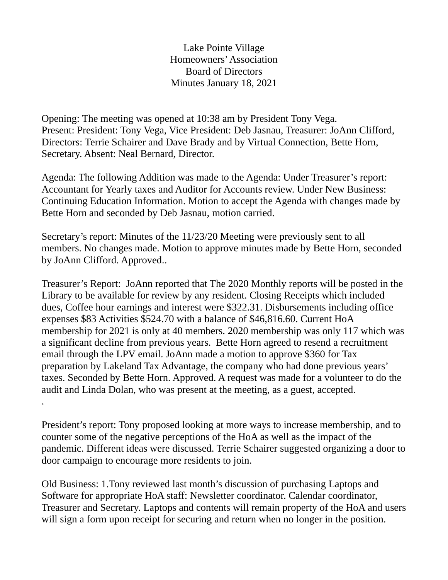Lake Pointe Village Homeowners' Association Board of Directors Minutes January 18, 2021

Opening: The meeting was opened at 10:38 am by President Tony Vega. Present: President: Tony Vega, Vice President: Deb Jasnau, Treasurer: JoAnn Clifford, Directors: Terrie Schairer and Dave Brady and by Virtual Connection, Bette Horn, Secretary. Absent: Neal Bernard, Director.

Agenda: The following Addition was made to the Agenda: Under Treasurer's report: Accountant for Yearly taxes and Auditor for Accounts review. Under New Business: Continuing Education Information. Motion to accept the Agenda with changes made by Bette Horn and seconded by Deb Jasnau, motion carried.

Secretary's report: Minutes of the 11/23/20 Meeting were previously sent to all members. No changes made. Motion to approve minutes made by Bette Horn, seconded by JoAnn Clifford. Approved..

Treasurer's Report: JoAnn reported that The 2020 Monthly reports will be posted in the Library to be available for review by any resident. Closing Receipts which included dues, Coffee hour earnings and interest were \$322.31. Disbursements including office expenses \$83 Activities \$524.70 with a balance of \$46,816.60. Current HoA membership for 2021 is only at 40 members. 2020 membership was only 117 which was a significant decline from previous years. Bette Horn agreed to resend a recruitment email through the LPV email. JoAnn made a motion to approve \$360 for Tax preparation by Lakeland Tax Advantage, the company who had done previous years' taxes. Seconded by Bette Horn. Approved. A request was made for a volunteer to do the audit and Linda Dolan, who was present at the meeting, as a guest, accepted.

President's report: Tony proposed looking at more ways to increase membership, and to counter some of the negative perceptions of the HoA as well as the impact of the pandemic. Different ideas were discussed. Terrie Schairer suggested organizing a door to door campaign to encourage more residents to join.

.

Old Business: 1.Tony reviewed last month's discussion of purchasing Laptops and Software for appropriate HoA staff: Newsletter coordinator. Calendar coordinator, Treasurer and Secretary. Laptops and contents will remain property of the HoA and users will sign a form upon receipt for securing and return when no longer in the position.